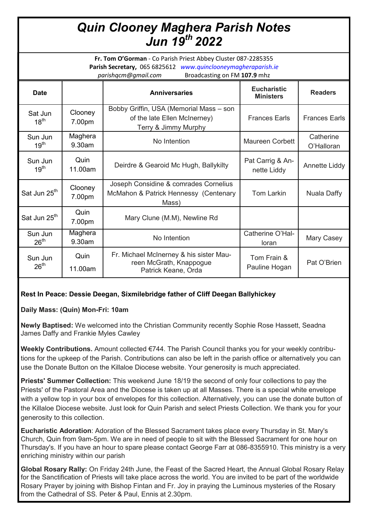# *Quin Clooney Maghera Parish Notes Jun 19th 2022*

**Fr. Tom O'Gorman** - Co Parish Priest Abbey Cluster 087-2285355 **Parish Secretary,** 065 6825612 *www.quinclooneymagheraparish.ie parishqcm@gmail.com* Broadcasting on FM **107.9** mhz

| <b>Date</b>                 |                   | <b>Anniversaries</b>                                                                            | <b>Eucharistic</b><br><b>Ministers</b> | <b>Readers</b>          |
|-----------------------------|-------------------|-------------------------------------------------------------------------------------------------|----------------------------------------|-------------------------|
| Sat Jun<br>$18^{th}$        | Clooney<br>7.00pm | Bobby Griffin, USA (Memorial Mass - son<br>of the late Ellen McInerney)<br>Terry & Jimmy Murphy | <b>Frances Earls</b>                   | <b>Frances Earls</b>    |
| Sun Jun<br>19 <sup>th</sup> | Maghera<br>9.30am | No Intention                                                                                    | Maureen Corbett                        | Catherine<br>O'Halloran |
| Sun Jun<br>19 <sup>th</sup> | Quin<br>11.00am   | Deirdre & Gearoid Mc Hugh, Ballykilty                                                           | Pat Carrig & An-<br>nette Liddy        | Annette Liddy           |
| Sat Jun 25 <sup>th</sup>    | Clooney<br>7.00pm | Joseph Considine & comrades Cornelius<br>McMahon & Patrick Hennessy (Centenary<br>Mass)         | Tom Larkin                             | Nuala Daffy             |
| Sat Jun 25 <sup>th</sup>    | Quin<br>7.00pm    | Mary Clune (M.M), Newline Rd                                                                    |                                        |                         |
| Sun Jun<br>$26^{\text{th}}$ | Maghera<br>9.30am | No Intention                                                                                    | Catherine O'Hal-<br>loran              | Mary Casey              |
| Sun Jun<br>26 <sup>th</sup> | Quin<br>11.00am   | Fr. Michael McInerney & his sister Mau-<br>reen McGrath, Knappogue<br>Patrick Keane, Orda       | Tom Frain &<br>Pauline Hogan           | Pat O'Brien             |

## **Rest In Peace: Dessie Deegan, Sixmilebridge father of Cliff Deegan Ballyhickey**

## **Daily Mass: (Quin) Mon-Fri: 10am**

**Newly Baptised:** We welcomed into the Christian Community recently Sophie Rose Hassett, Seadna James Daffy and Frankie Myles Cawley

**Weekly Contributions.** Amount collected €744. The Parish Council thanks you for your weekly contributions for the upkeep of the Parish. Contributions can also be left in the parish office or alternatively you can use the Donate Button on the Killaloe Diocese website. Your generosity is much appreciated.

**Priests' Summer Collection:** This weekend June 18/19 the second of only four collections to pay the Priests' of the Pastoral Area and the Diocese is taken up at all Masses. There is a special white envelope with a yellow top in your box of envelopes for this collection. Alternatively, you can use the donate button of the Killaloe Diocese website. Just look for Quin Parish and select Priests Collection. We thank you for your generosity to this collection.

**Eucharistic Adoration**: Adoration of the Blessed Sacrament takes place every Thursday in St. Mary's Church, Quin from 9am-5pm. We are in need of people to sit with the Blessed Sacrament for one hour on Thursday's. If you have an hour to spare please contact George Farr at 086-8355910. This ministry is a very enriching ministry within our parish

**Global Rosary Rally:** On Friday 24th June, the Feast of the Sacred Heart, the Annual Global Rosary Relay for the Sanctification of Priests will take place across the world. You are invited to be part of the worldwide Rosary Prayer by joining with Bishop Fintan and Fr. Joy in praying the Luminous mysteries of the Rosary from the Cathedral of SS. Peter & Paul, Ennis at 2.30pm.